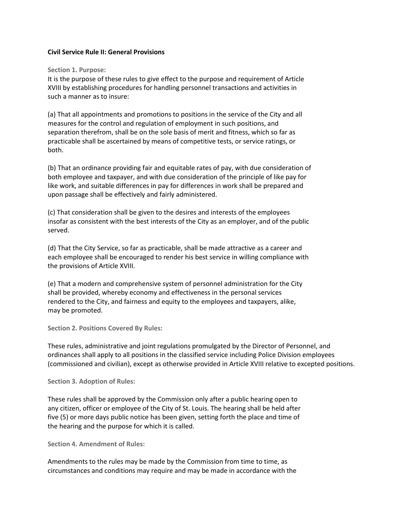## **Civil Service Rule II: General Provisions**

## **Section 1. Purpose:**

It is the purpose of these rules to give effect to the purpose and requirement of Article XVIII by establishing procedures for handling personnel transactions and activities in such a manner as to insure:

(a) That all appointments and promotions to positions in the service of the City and all measures for the control and regulation of employment in such positions, and separation therefrom, shall be on the sole basis of merit and fitness, which so far as practicable shall be ascertained by means of competitive tests, or service ratings, or both.

(b) That an ordinance providing fair and equitable rates of pay, with due consideration of both employee and taxpayer, and with due consideration of the principle of like pay for like work, and suitable differences in pay for differences in work shall be prepared and upon passage shall be effectively and fairly administered.

(c) That consideration shall be given to the desires and interests of the employees insofar as consistent with the best interests of the City as an employer, and of the public served.

(d) That the City Service, so far as practicable, shall be made attractive as a career and each employee shall be encouraged to render his best service in willing compliance with the provisions of Article XVIII.

(e) That a modern and comprehensive system of personnel administration for the City shall be provided, whereby economy and effectiveness in the personal services rendered to the City, and fairness and equity to the employees and taxpayers, alike, may be promoted.

**Section 2. Positions Covered By Rules:**

These rules, administrative and joint regulations promulgated by the Director of Personnel, and ordinances shall apply to all positions in the classified service including Police Division employees (commissioned and civilian), except as otherwise provided in Article XVIII relative to excepted positions.

## **Section 3. Adoption of Rules:**

These rules shall be approved by the Commission only after a public hearing open to any citizen, officer or employee of the City of St. Louis. The hearing shall be held after five (5) or more days public notice has been given, setting forth the place and time of the hearing and the purpose for which it is called.

**Section 4. Amendment of Rules:**

Amendments to the rules may be made by the Commission from time to time, as circumstances and conditions may require and may be made in accordance with the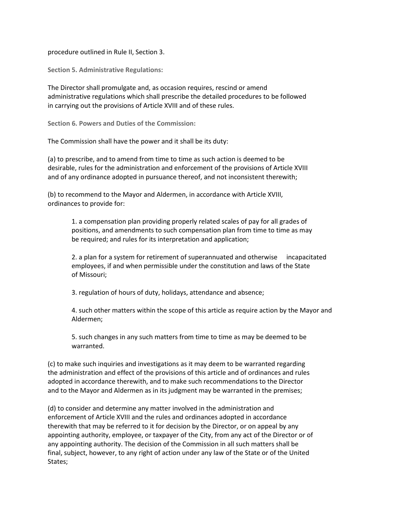procedure outlined in Rule II, Section 3.

**Section 5. Administrative Regulations:**

The Director shall promulgate and, as occasion requires, rescind or amend administrative regulations which shall prescribe the detailed procedures to be followed in carrying out the provisions of Article XVIII and of these rules.

**Section 6. Powers and Duties of the Commission:**

The Commission shall have the power and it shall be its duty:

(a) to prescribe, and to amend from time to time as such action is deemed to be desirable, rules for the administration and enforcement of the provisions of Article XVIII and of any ordinance adopted in pursuance thereof, and not inconsistent therewith;

(b) to recommend to the Mayor and Aldermen, in accordance with Article XVIII, ordinances to provide for:

> 1. a compensation plan providing properly related scales of pay for all grades of positions, and amendments to such compensation plan from time to time as may be required; and rules for its interpretation and application;

2. a plan for a system for retirement of superannuated and otherwise incapacitated employees, if and when permissible under the constitution and laws of the State of Missouri;

3. regulation of hours of duty, holidays, attendance and absence;

4. such other matters within the scope of this article as require action by the Mayor and Aldermen;

5. such changes in any such matters from time to time as may be deemed to be warranted.

(c) to make such inquiries and investigations as it may deem to be warranted regarding the administration and effect of the provisions of this article and of ordinances and rules adopted in accordance therewith, and to make such recommendations to the Director and to the Mayor and Aldermen as in its judgment may be warranted in the premises;

(d) to consider and determine any matter involved in the administration and enforcement of Article XVIII and the rules and ordinances adopted in accordance therewith that may be referred to it for decision by the Director, or on appeal by any appointing authority, employee, or taxpayer of the City, from any act of the Director or of any appointing authority. The decision of the Commission in all such matters shall be final, subject, however, to any right of action under any law of the State or of the United States;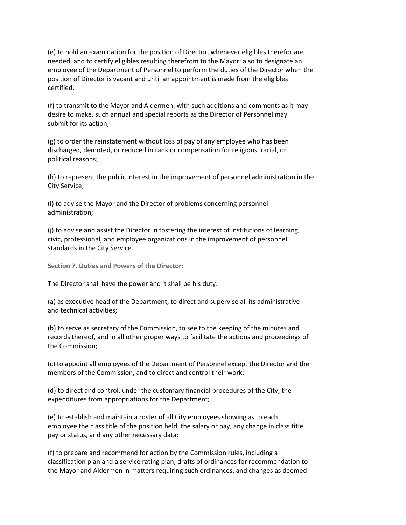(e) to hold an examination for the position of Director, whenever eligibles therefor are needed, and to certify eligibles resulting therefrom to the Mayor; also to designate an employee of the Department of Personnel to perform the duties of the Director when the position of Director is vacant and until an appointment is made from the eligibles certified;

(f) to transmit to the Mayor and Aldermen, with such additions and comments as it may desire to make, such annual and special reports as the Director of Personnel may submit for its action;

(g) to order the reinstatement without loss of pay of any employee who has been discharged, demoted, or reduced in rank or compensation for religious, racial, or political reasons;

(h) to represent the public interest in the improvement of personnel administration in the City Service;

(i) to advise the Mayor and the Director of problems concerning personnel administration;

(j) to advise and assist the Director in fostering the interest of institutions of learning, civic, professional, and employee organizations in the improvement of personnel standards in the City Service.

**Section 7. Duties and Powers of the Director:**

The Director shall have the power and it shall be his duty:

(a) as executive head of the Department, to direct and supervise all its administrative and technical activities;

(b) to serve as secretary of the Commission, to see to the keeping of the minutes and records thereof, and in all other proper ways to facilitate the actions and proceedings of the Commission;

(c) to appoint all employees of the Department of Personnel except the Director and the members of the Commission, and to direct and control their work;

(d) to direct and control, under the customary financial procedures of the City, the expenditures from appropriations for the Department;

(e) to establish and maintain a roster of all City employees showing as to each employee the class title of the position held, the salary or pay, any change in class title, pay or status, and any other necessary data;

(f) to prepare and recommend for action by the Commission rules, including a classification plan and a service rating plan, drafts of ordinances for recommendation to the Mayor and Aldermen in matters requiring such ordinances, and changes as deemed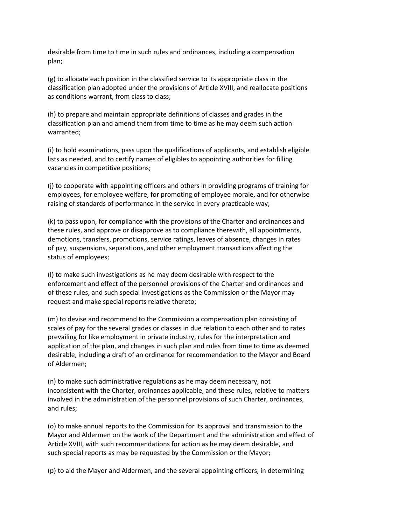desirable from time to time in such rules and ordinances, including a compensation plan;

(g) to allocate each position in the classified service to its appropriate class in the classification plan adopted under the provisions of Article XVIII, and reallocate positions as conditions warrant, from class to class;

(h) to prepare and maintain appropriate definitions of classes and grades in the classification plan and amend them from time to time as he may deem such action warranted;

(i) to hold examinations, pass upon the qualifications of applicants, and establish eligible lists as needed, and to certify names of eligibles to appointing authorities for filling vacancies in competitive positions;

(j) to cooperate with appointing officers and others in providing programs of training for employees, for employee welfare, for promoting of employee morale, and for otherwise raising of standards of performance in the service in every practicable way;

(k) to pass upon, for compliance with the provisions of the Charter and ordinances and these rules, and approve or disapprove as to compliance therewith, all appointments, demotions, transfers, promotions, service ratings, leaves of absence, changes in rates of pay, suspensions, separations, and other employment transactions affecting the status of employees;

(l) to make such investigations as he may deem desirable with respect to the enforcement and effect of the personnel provisions of the Charter and ordinances and of these rules, and such special investigations as the Commission or the Mayor may request and make special reports relative thereto;

(m) to devise and recommend to the Commission a compensation plan consisting of scales of pay for the several grades or classes in due relation to each other and to rates prevailing for like employment in private industry, rules for the interpretation and application of the plan, and changes in such plan and rules from time to time as deemed desirable, including a draft of an ordinance for recommendation to the Mayor and Board of Aldermen;

(n) to make such administrative regulations as he may deem necessary, not inconsistent with the Charter, ordinances applicable, and these rules, relative to matters involved in the administration of the personnel provisions of such Charter, ordinances, and rules;

(o) to make annual reports to the Commission for its approval and transmission to the Mayor and Aldermen on the work of the Department and the administration and effect of Article XVIII, with such recommendations for action as he may deem desirable, and such special reports as may be requested by the Commission or the Mayor;

(p) to aid the Mayor and Aldermen, and the several appointing officers, in determining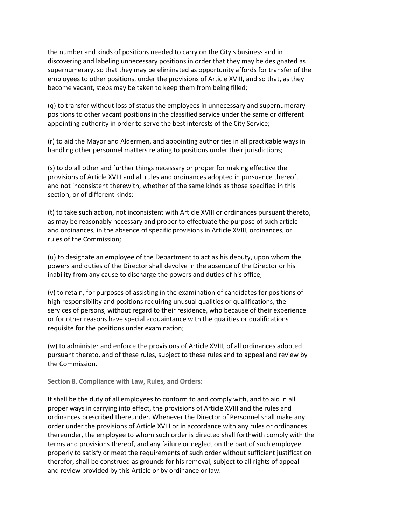the number and kinds of positions needed to carry on the City's business and in discovering and labeling unnecessary positions in order that they may be designated as supernumerary, so that they may be eliminated as opportunity affords for transfer of the employees to other positions, under the provisions of Article XVIII, and so that, as they become vacant, steps may be taken to keep them from being filled;

(q) to transfer without loss of status the employees in unnecessary and supernumerary positions to other vacant positions in the classified service under the same or different appointing authority in order to serve the best interests of the City Service;

(r) to aid the Mayor and Aldermen, and appointing authorities in all practicable ways in handling other personnel matters relating to positions under their jurisdictions;

(s) to do all other and further things necessary or proper for making effective the provisions of Article XVIII and all rules and ordinances adopted in pursuance thereof, and not inconsistent therewith, whether of the same kinds as those specified in this section, or of different kinds;

(t) to take such action, not inconsistent with Article XVIII or ordinances pursuant thereto, as may be reasonably necessary and proper to effectuate the purpose of such article and ordinances, in the absence of specific provisions in Article XVIII, ordinances, or rules of the Commission;

(u) to designate an employee of the Department to act as his deputy, upon whom the powers and duties of the Director shall devolve in the absence of the Director or his inability from any cause to discharge the powers and duties of his office;

(v) to retain, for purposes of assisting in the examination of candidates for positions of high responsibility and positions requiring unusual qualities or qualifications, the services of persons, without regard to their residence, who because of their experience or for other reasons have special acquaintance with the qualities or qualifications requisite for the positions under examination;

(w) to administer and enforce the provisions of Article XVIII, of all ordinances adopted pursuant thereto, and of these rules, subject to these rules and to appeal and review by the Commission.

**Section 8. Compliance with Law, Rules, and Orders:**

It shall be the duty of all employees to conform to and comply with, and to aid in all proper ways in carrying into effect, the provisions of Article XVIII and the rules and ordinances prescribed thereunder. Whenever the Director of Personnel shall make any order under the provisions of Article XVIII or in accordance with any rules or ordinances thereunder, the employee to whom such order is directed shall forthwith comply with the terms and provisions thereof, and any failure or neglect on the part of such employee properly to satisfy or meet the requirements of such order without sufficient justification therefor, shall be construed as grounds for his removal, subject to all rights of appeal and review provided by this Article or by ordinance or law.